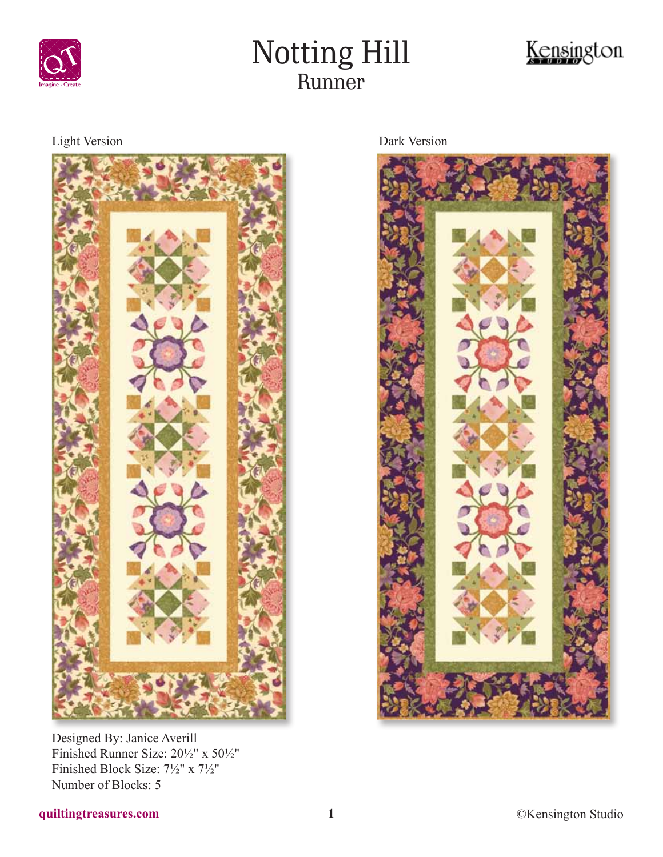

# Notting Hill Runner



Light Version Dark Version



Designed By: Janice Averill Finished Runner Size: 20½" x 50½" Finished Block Size: 7½" x 7½" Number of Blocks: 5

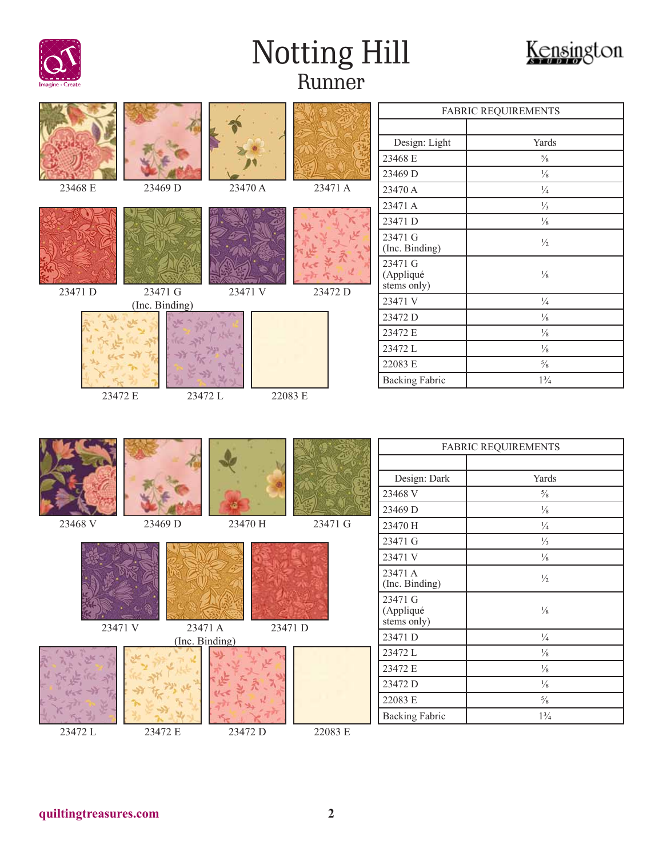

# Notting Hill Runner



|         |                           |         |                       |                                     | FABRIC REQUIREMENTS |
|---------|---------------------------|---------|-----------------------|-------------------------------------|---------------------|
|         |                           |         |                       |                                     |                     |
|         |                           |         |                       | Design: Light                       | Yards               |
|         |                           |         |                       | 23468 E                             | $5/8$               |
|         |                           |         |                       | 23469 D                             | $\frac{1}{8}$       |
| 23468 E | 23469 D                   | 23470 A | 23471 A               | 23470 A                             | $\frac{1}{4}$       |
|         |                           |         |                       | 23471 A                             | $\frac{1}{3}$       |
|         |                           |         |                       | 23471 D                             | $\frac{1}{8}$       |
|         |                           |         |                       | 23471 G<br>(Inc. Binding)           | $\frac{1}{2}$       |
|         |                           |         |                       | 23471 G<br>(Appliqué<br>stems only) | $\frac{1}{8}$       |
| 23471 D | 23471 G<br>(Inc. Binding) | 23471 V | 23472 D               | 23471 V                             | $\frac{1}{4}$       |
|         |                           |         |                       | 23472 D                             | $\frac{1}{8}$       |
|         |                           |         |                       | 23472 E                             | $\frac{1}{8}$       |
|         |                           |         |                       | 23472L                              | $\frac{1}{8}$       |
|         |                           |         |                       | 22083 E                             | $5/8$               |
|         |                           |         | <b>Backing Fabric</b> | $1\frac{3}{4}$                      |                     |
|         |                           |         |                       |                                     |                     |
|         |                           |         |                       |                                     | FABRIC REQUIREMENTS |
|         |                           |         |                       |                                     |                     |
|         |                           |         |                       | Design: Dark                        | Yards               |
|         |                           |         |                       | 23468 V                             | $5/8$               |
|         |                           |         |                       | 23469 D                             | $\frac{1}{8}$       |
| 23468 V | 23469 D                   | 23470 H | 23471 G               | 23470 H                             | $\frac{1}{4}$       |
|         |                           |         |                       | 23471 G                             | $\frac{1}{3}$       |
|         |                           |         |                       | 23471 V                             | $\frac{1}{8}$       |
|         |                           |         |                       | 23471 A<br>(Inc. Binding)           | $\frac{1}{2}$       |
|         |                           |         |                       | 23471 G<br>(Appliqué<br>stems only) | $\frac{1}{8}$       |
| 23471 V | 23471 A                   |         | 23471 D               | 23471 D                             | $\frac{1}{4}$       |
|         | (Inc. Binding)            |         |                       | 23472L                              | $\frac{1}{8}$       |
|         |                           |         |                       | 23472 E                             | $\frac{1}{8}$       |
|         |                           |         |                       | 23472 D                             | $\frac{1}{8}$       |
|         |                           |         |                       | 22083 E                             | $^{5}\!/_{\!8}$     |
| 23472L  | 23472 E                   | 23472 D | 22083 E               | <b>Backing Fabric</b>               | $1\frac{3}{4}$      |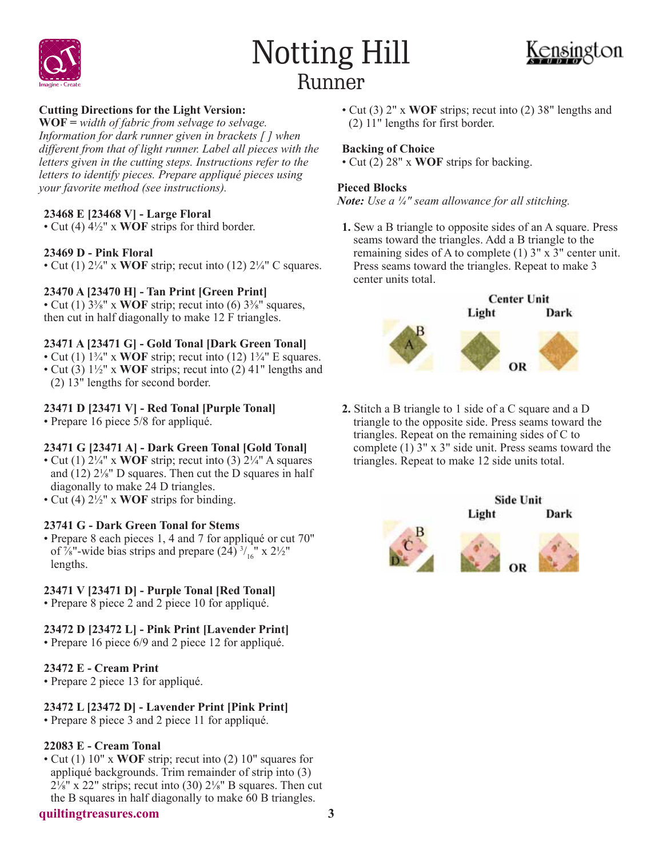





# **Cutting Directions for the Light Version:**

**WOF =** *width of fabric from selvage to selvage. Information for dark runner given in brackets [ ] when different from that of light runner. Label all pieces with the letters given in the cutting steps. Instructions refer to the letters to identify pieces. Prepare appliqué pieces using your favorite method (see instructions).*

## **23468 E [23468 V] - Large Floral**

• Cut (4) 4½" x **WOF** strips for third border.

### **23469 D - Pink Floral**

• Cut (1) 2¼" x **WOF** strip; recut into (12) 2¼" C squares.

## **23470 A [23470 H] - Tan Print [Green Print]**

• Cut  $(1)$  3<sup>3</sup>/<sub>8</sub><sup>"</sup> x **WOF** strip; recut into  $(6)$  3<sup>3</sup>/<sub>8</sub><sup>"</sup> squares, then cut in half diagonally to make 12 F triangles.

### **23471 A [23471 G] - Gold Tonal [Dark Green Tonal]**

- Cut (1)  $1\frac{3}{4}$ " x **WOF** strip; recut into (12)  $1\frac{3}{4}$ " E squares.
- Cut (3) 1½" x **WOF** strips; recut into (2) 41" lengths and (2) 13" lengths for second border.

## **23471 D [23471 V] - Red Tonal [Purple Tonal]**

• Prepare 16 piece 5/8 for appliqué.

# **23471 G [23471 A] - Dark Green Tonal [Gold Tonal]**

- Cut (1)  $2\frac{1}{4}$ " x **WOF** strip; recut into (3)  $2\frac{1}{4}$ " A squares and (12) 2⅛" D squares. Then cut the D squares in half diagonally to make 24 D triangles.
- Cut (4) 2½" x **WOF** strips for binding.

### **23741 G - Dark Green Tonal for Stems**

• Prepare 8 each pieces 1, 4 and 7 for appliqué or cut 70" of  $\frac{7}{8}$ "-wide bias strips and prepare (24)  $\frac{3}{16}$ " x 2 $\frac{1}{2}$ " lengths.

### **23471 V [23471 D] - Purple Tonal [Red Tonal]**

• Prepare 8 piece 2 and 2 piece 10 for appliqué.

### **23472 D [23472 L] - Pink Print [Lavender Print]**

• Prepare 16 piece 6/9 and 2 piece 12 for appliqué.

### **23472 E - Cream Print**

• Prepare 2 piece 13 for appliqué.

### **23472 L [23472 D] - Lavender Print [Pink Print]**

• Prepare 8 piece 3 and 2 piece 11 for appliqué.

### **22083 E - Cream Tonal**

• Cut (1) 10" x **WOF** strip; recut into (2) 10" squares for appliqué backgrounds. Trim remainder of strip into (3)  $2\frac{1}{8}$ " x 22" strips; recut into (30)  $2\frac{1}{8}$ " B squares. Then cut the B squares in half diagonally to make 60 B triangles.



Light

**Side Unit** 

Dark

**quiltingtreasures.com 3**

• Cut (3) 2" x **WOF** strips; recut into (2) 38" lengths and (2) 11" lengths for first border.

# **Backing of Choice**

• Cut (2) 28" x **WOF** strips for backing.

### **Pieced Blocks**

*Note: Use a ¼" seam allowance for all stitching.*

**1.** Sew a B triangle to opposite sides of an A square. Press seams toward the triangles. Add a B triangle to the remaining sides of A to complete (1) 3" x 3" center unit. Press seams toward the triangles. Repeat to make 3 center units total.



**2.** Stitch a B triangle to 1 side of a C square and a D triangle to the opposite side. Press seams toward the triangles. Repeat on the remaining sides of C to complete (1) 3" x 3" side unit. Press seams toward the triangles. Repeat to make 12 side units total.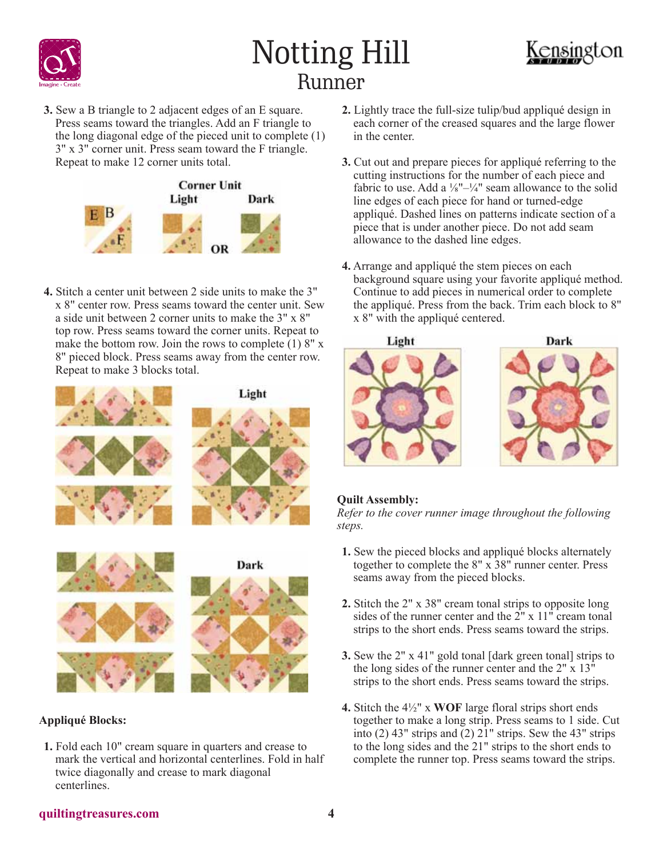

# Notting Hill Runner



**3.** Sew a B triangle to 2 adjacent edges of an E square. Press seams toward the triangles. Add an F triangle to the long diagonal edge of the pieced unit to complete (1) 3" x 3" corner unit. Press seam toward the F triangle. Repeat to make 12 corner units total.



**4.** Stitch a center unit between 2 side units to make the 3" x 8" center row. Press seams toward the center unit. Sew a side unit between 2 corner units to make the 3" x 8" top row. Press seams toward the corner units. Repeat to make the bottom row. Join the rows to complete (1) 8" x 8" pieced block. Press seams away from the center row. Repeat to make 3 blocks total.





### **Appliqué Blocks:**

**1.** Fold each 10" cream square in quarters and crease to mark the vertical and horizontal centerlines. Fold in half twice diagonally and crease to mark diagonal centerlines.

- **2.** Lightly trace the full-size tulip/bud appliqué design in each corner of the creased squares and the large flower in the center.
- **3.** Cut out and prepare pieces for appliqué referring to the cutting instructions for the number of each piece and fabric to use. Add a  $\frac{1}{8}$ "- $\frac{1}{4}$ " seam allowance to the solid line edges of each piece for hand or turned-edge appliqué. Dashed lines on patterns indicate section of a piece that is under another piece. Do not add seam allowance to the dashed line edges.
- **4.** Arrange and appliqué the stem pieces on each background square using your favorite appliqué method. Continue to add pieces in numerical order to complete the appliqué. Press from the back. Trim each block to 8" x 8" with the appliqué centered.



# **Quilt Assembly:**

*Refer to the cover runner image throughout the following steps.*

- **1.** Sew the pieced blocks and appliqué blocks alternately together to complete the 8" x 38" runner center. Press seams away from the pieced blocks.
- **2.** Stitch the 2" x 38" cream tonal strips to opposite long sides of the runner center and the 2" x 11" cream tonal strips to the short ends. Press seams toward the strips.
- **3.** Sew the 2" x 41" gold tonal [dark green tonal] strips to the long sides of the runner center and the 2" x 13" strips to the short ends. Press seams toward the strips.
- **4.** Stitch the 4½" x **WOF** large floral strips short ends together to make a long strip. Press seams to 1 side. Cut into (2) 43" strips and (2) 21" strips. Sew the 43" strips to the long sides and the 21" strips to the short ends to complete the runner top. Press seams toward the strips.

### **quiltingtreasures.com 4**